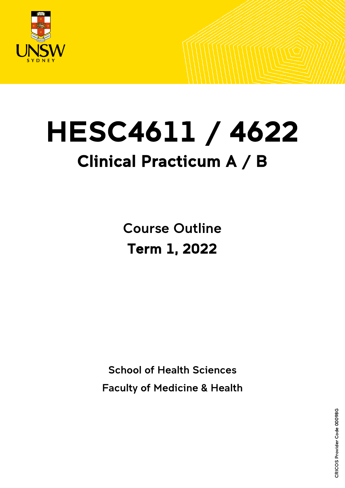

# HESC4611 / 4622 Clinical Practicum A / B

Course Outline Term 1, 2022

School of Health Sciences

Faculty of Medicine & Health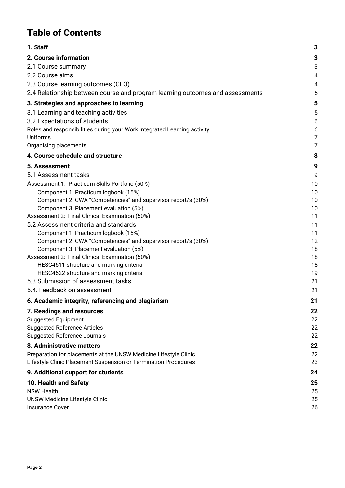# **Table of Contents**

| 1. Staff                                                                      | 3              |
|-------------------------------------------------------------------------------|----------------|
| 2. Course information                                                         | 3              |
| 2.1 Course summary                                                            | 3              |
| 2.2 Course aims                                                               | 4              |
| 2.3 Course learning outcomes (CLO)                                            | 4              |
| 2.4 Relationship between course and program learning outcomes and assessments | 5              |
| 3. Strategies and approaches to learning                                      | 5              |
| 3.1 Learning and teaching activities                                          | 5              |
| 3.2 Expectations of students                                                  | 6              |
| Roles and responsibilities during your Work Integrated Learning activity      | 6              |
| Uniforms                                                                      | $\overline{7}$ |
| Organising placements                                                         | $\overline{7}$ |
| 4. Course schedule and structure                                              | 8              |
| 5. Assessment                                                                 | 9              |
| 5.1 Assessment tasks                                                          | 9              |
| Assessment 1: Practicum Skills Portfolio (50%)                                | 10             |
| Component 1: Practicum logbook (15%)                                          | 10             |
| Component 2: CWA "Competencies" and supervisor report/s (30%)                 | 10             |
| Component 3: Placement evaluation (5%)                                        | 10             |
| Assessment 2: Final Clinical Examination (50%)                                | 11             |
| 5.2 Assessment criteria and standards                                         | 11             |
| Component 1: Practicum logbook (15%)                                          | 11             |
| Component 2: CWA "Competencies" and supervisor report/s (30%)                 | 12             |
| Component 3: Placement evaluation (5%)                                        | 18             |
| Assessment 2: Final Clinical Examination (50%)                                | 18             |
| HESC4611 structure and marking criteria                                       | 18             |
| HESC4622 structure and marking criteria                                       | 19             |
| 5.3 Submission of assessment tasks                                            | 21             |
| 5.4. Feedback on assessment                                                   | 21             |
| 6. Academic integrity, referencing and plagiarism                             | 21             |
| 7. Readings and resources                                                     | 22             |
| <b>Suggested Equipment</b>                                                    | 22             |
| <b>Suggested Reference Articles</b>                                           | 22             |
| <b>Suggested Reference Journals</b>                                           | 22             |
| 8. Administrative matters                                                     | 22             |
| Preparation for placements at the UNSW Medicine Lifestyle Clinic              | 22             |
| Lifestyle Clinic Placement Suspension or Termination Procedures               | 23             |
| 9. Additional support for students                                            | 24             |
| 10. Health and Safety                                                         | 25             |
| <b>NSW Health</b>                                                             | 25             |
| <b>UNSW Medicine Lifestyle Clinic</b>                                         | 25             |
| <b>Insurance Cover</b>                                                        | 26             |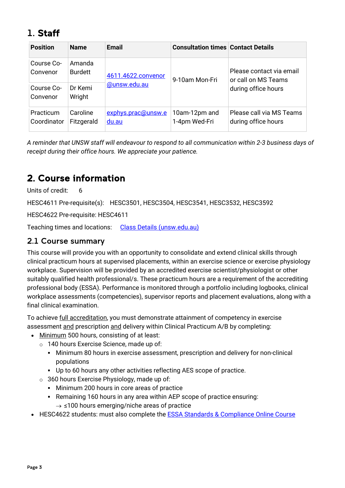# <span id="page-2-0"></span>1. Staff

| <b>Position</b>          | <b>Name</b>              | Email                       | <b>Consultation times Contact Details</b> |                                                 |  |
|--------------------------|--------------------------|-----------------------------|-------------------------------------------|-------------------------------------------------|--|
| Course Co-<br>Convenor   | Amanda<br><b>Burdett</b> | 4611.4622.convenor          | 9-10am Mon-Fri                            | Please contact via email<br>or call on MS Teams |  |
| Course Co-<br>Convenor   | Dr Kemi<br>Wright        | @unsw.edu.au                |                                           | during office hours                             |  |
| Practicum<br>Coordinator | Caroline<br>Fitzgerald   | exphys.prac@unsw.e<br>du.au | 10am-12pm and<br>1-4pm Wed-Fri            | Please call via MS Teams<br>during office hours |  |

*A reminder that UNSW staff will endeavour to respond to all communication within 2-3 business days of receipt during their office hours. We appreciate your patience.*

# <span id="page-2-1"></span>2. Course information

Units of credit: 6

HESC4611 Pre-requisite(s): HESC3501, HESC3504, HESC3541, HESC3532, HESC3592

HESC4622 Pre-requisite: HESC4611

Teaching times and locations: [Class Details \(unsw.edu.au\)](http://timetable.unsw.edu.au/2022/HESC4611.html)

### <span id="page-2-2"></span>2.1 Course summary

This course will provide you with an opportunity to consolidate and extend clinical skills through clinical practicum hours at supervised placements, within an exercise science or exercise physiology workplace. Supervision will be provided by an accredited exercise scientist/physiologist or other suitably qualified health professional/s. These practicum hours are a requirement of the accrediting professional body (ESSA). Performance is monitored through a portfolio including logbooks, clinical workplace assessments (competencies), supervisor reports and placement evaluations, along with a final clinical examination.

To achieve full accreditation, you must demonstrate attainment of competency in exercise assessment and prescription and delivery within Clinical Practicum A/B by completing:

- Minimum 500 hours, consisting of at least:
	- o 140 hours Exercise Science, made up of:
		- Minimum 80 hours in exercise assessment, prescription and delivery for non-clinical populations
		- Up to 60 hours any other activities reflecting AES scope of practice.
	- o 360 hours Exercise Physiology, made up of:
		- Minimum 200 hours in core areas of practice
		- Remaining 160 hours in any area within AEP scope of practice ensuring:  $\rightarrow$  ≤100 hours emerging/niche areas of practice
- HESC4622 students: must also complete the **ESSA Standards & Compliance Online Course**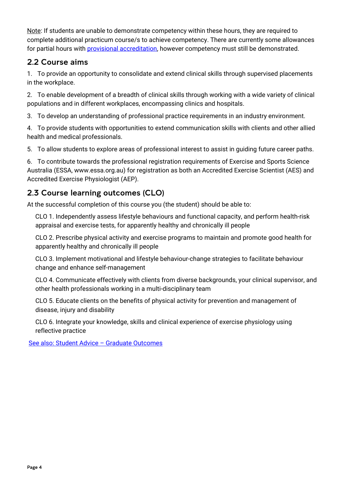Note: If students are unable to demonstrate competency within these hours, they are required to complete additional practicum course/s to achieve competency. There are currently some allowances for partial hours with [provisional accreditation,](https://www.essa.org.au/Public/APPLY_NOW/Accreditation/Provisional_Accreditation.aspx) however competency must still be demonstrated.

### <span id="page-3-0"></span>2.2 Course aims

1. To provide an opportunity to consolidate and extend clinical skills through supervised placements in the workplace.

2. To enable development of a breadth of clinical skills through working with a wide variety of clinical populations and in different workplaces, encompassing clinics and hospitals.

3. To develop an understanding of professional practice requirements in an industry environment.

4. To provide students with opportunities to extend communication skills with clients and other allied health and medical professionals.

5. To allow students to explore areas of professional interest to assist in guiding future career paths.

6. To contribute towards the professional registration requirements of Exercise and Sports Science Australia (ESSA, www.essa.org.au) for registration as both an Accredited Exercise Scientist (AES) and Accredited Exercise Physiologist (AEP).

## <span id="page-3-1"></span>2.3 Course learning outcomes (CLO)

At the successful completion of this course you (the student) should be able to:

CLO 1. Independently assess lifestyle behaviours and functional capacity, and perform health-risk appraisal and exercise tests, for apparently healthy and chronically ill people

CLO 2. Prescribe physical activity and exercise programs to maintain and promote good health for apparently healthy and chronically ill people

CLO 3. Implement motivational and lifestyle behaviour-change strategies to facilitate behaviour change and enhance self-management

CLO 4. Communicate effectively with clients from diverse backgrounds, your clinical supervisor, and other health professionals working in a multi-disciplinary team

CLO 5. Educate clients on the benefits of physical activity for prevention and management of disease, injury and disability

CLO 6. Integrate your knowledge, skills and clinical experience of exercise physiology using reflective practice

<span id="page-3-2"></span>[See also: Student Advice –](https://teaching.unsw.edu.au/graduate-capabilities) Graduate Outcomes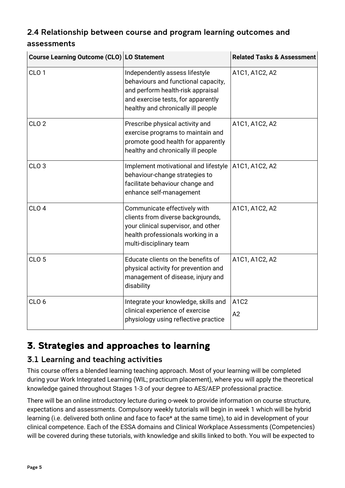# 2.4 Relationship between course and program learning outcomes and

| assessments |  |
|-------------|--|
|-------------|--|

| Course Learning Outcome (CLO) LO Statement |                                                                                                                                                                                        | <b>Related Tasks &amp; Assessment</b> |  |
|--------------------------------------------|----------------------------------------------------------------------------------------------------------------------------------------------------------------------------------------|---------------------------------------|--|
| CLO <sub>1</sub>                           | Independently assess lifestyle<br>behaviours and functional capacity,<br>and perform health-risk appraisal<br>and exercise tests, for apparently<br>healthy and chronically ill people | A1C1, A1C2, A2                        |  |
| CLO <sub>2</sub>                           | Prescribe physical activity and<br>exercise programs to maintain and<br>promote good health for apparently<br>healthy and chronically ill people                                       | A1C1, A1C2, A2                        |  |
| CLO <sub>3</sub>                           | Implement motivational and lifestyle<br>behaviour-change strategies to<br>facilitate behaviour change and<br>enhance self-management                                                   | A1C1, A1C2, A2                        |  |
| CLO <sub>4</sub>                           | Communicate effectively with<br>clients from diverse backgrounds,<br>your clinical supervisor, and other<br>health professionals working in a<br>multi-disciplinary team               | A1C1, A1C2, A2                        |  |
| CLO <sub>5</sub>                           | Educate clients on the benefits of<br>physical activity for prevention and<br>management of disease, injury and<br>disability                                                          | A1C1, A1C2, A2                        |  |
| CLO <sub>6</sub>                           | Integrate your knowledge, skills and<br>clinical experience of exercise<br>physiology using reflective practice                                                                        | A1C2<br>A2                            |  |

# <span id="page-4-0"></span>3. Strategies and approaches to learning

### <span id="page-4-1"></span>3.1 Learning and teaching activities

This course offers a blended learning teaching approach. Most of your learning will be completed during your Work Integrated Learning (WIL; practicum placement), where you will apply the theoretical knowledge gained throughout Stages 1-3 of your degree to AES/AEP professional practice.

There will be an online introductory lecture during o-week to provide information on course structure, expectations and assessments. Compulsory weekly tutorials will begin in week 1 which will be hybrid learning (i.e. delivered both online and face to face\* at the same time), to aid in development of your clinical competence. Each of the ESSA domains and Clinical Workplace Assessments (Competencies) will be covered during these tutorials, with knowledge and skills linked to both. You will be expected to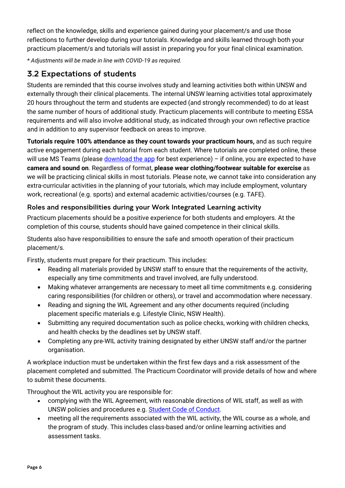reflect on the knowledge, skills and experience gained during your placement/s and use those reflections to further develop during your tutorials. Knowledge and skills learned through both your practicum placement/s and tutorials will assist in preparing you for your final clinical examination.

*\* Adjustments will be made in line with COVID-19 as required.*

# <span id="page-5-0"></span>3.2 Expectations of students

Students are reminded that this course involves study and learning activities both within UNSW and externally through their clinical placements. The internal UNSW learning activities total approximately 20 hours throughout the term and students are expected (and strongly recommended) to do at least the same number of hours of additional study. Practicum placements will contribute to meeting ESSA requirements and will also involve additional study, as indicated through your own reflective practice and in addition to any supervisor feedback on areas to improve.

**Tutorials require 100% attendance as they count towards your practicum hours,** and as such require active engagement during each tutorial from each student. Where tutorials are completed online, these will use MS Teams (please  $d$ ownload the app for best experience) – if online, you are expected to have **camera and sound on**. Regardless of format, **please wear clothing/footwear suitable for exercise** as we will be practicing clinical skills in most tutorials. Please note, we cannot take into consideration any extra-curricular activities in the planning of your tutorials, which may include employment, voluntary work, recreational (e.g. sports) and external academic activities/courses (e.g. TAFE).

### <span id="page-5-1"></span>Roles and responsibilities during your Work Integrated Learning activity

Practicum placements should be a positive experience for both students and employers. At the completion of this course, students should have gained competence in their clinical skills.

Students also have responsibilities to ensure the safe and smooth operation of their practicum placement/s.

Firstly, students must prepare for their practicum. This includes:

- Reading all materials provided by UNSW staff to ensure that the requirements of the activity, especially any time commitments and travel involved, are fully understood.
- Making whatever arrangements are necessary to meet all time commitments e.g. considering caring responsibilities (for children or others), or travel and accommodation where necessary.
- Reading and signing the WIL Agreement and any other documents required (including placement specific materials e.g. Lifestyle Clinic, NSW Health).
- Submitting any required documentation such as police checks, working with children checks, and health checks by the deadlines set by UNSW staff.
- Completing any pre-WIL activity training designated by either UNSW staff and/or the partner organisation.

A workplace induction must be undertaken within the first few days and a risk assessment of the placement completed and submitted. The Practicum Coordinator will provide details of how and where to submit these documents.

Throughout the WIL activity you are responsible for:

- complying with the WIL Agreement, with reasonable directions of WIL staff, as well as with UNSW policies and procedures e.g. [Student Code of Conduct.](https://student.unsw.edu.au/conduct)
- meeting all the requirements associated with the WIL activity, the WIL course as a whole, and the program of study. This includes class-based and/or online learning activities and assessment tasks.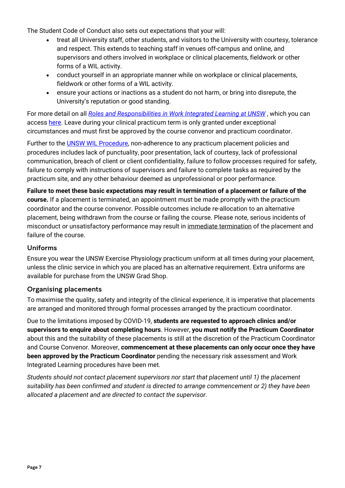The Student Code of Conduct also sets out expectations that your will:

- treat all University staff, other students, and visitors to the University with courtesy, tolerance and respect. This extends to teaching staff in venues off-campus and online, and supervisors and others involved in workplace or clinical placements, fieldwork or other forms of a WIL activity.
- conduct yourself in an appropriate manner while on workplace or clinical placements, fieldwork or other forms of a WIL activity.
- ensure your actions or inactions as a student do not harm, or bring into disrepute, the University's reputation or good standing.

For more detail on all *[Roles and Responsibilities in Work Integrated Learning at UNSW](https://www.wil.unsw.edu.au/sites/default/files/documents/Roles-and-Responsibilities-for-Work-Integrated-Learning-%28WIL%29-at-UNSW.pdf)* , which you can access [here.](https://www.wil.unsw.edu.au/sites/default/files/documents/Roles-and-Responsibilities-for-Work-Integrated-Learning-%28WIL%29-at-UNSW.pdf) Leave during your clinical practicum term is only granted under exceptional circumstances and must first be approved by the course convenor and practicum coordinator.

Further to the **UNSW WIL Procedure**, non-adherence to any practicum placement policies and procedures includes lack of punctuality, poor presentation, lack of courtesy, lack of professional communication, breach of client or client confidentiality, failure to follow processes required for safety, failure to comply with instructions of supervisors and failure to complete tasks as required by the practicum site, and any other behaviour deemed as unprofessional or poor performance.

**Failure to meet these basic expectations may result in termination of a placement or failure of the course.** If a placement is terminated, an appointment must be made promptly with the practicum coordinator and the course convenor. Possible outcomes include re-allocation to an alternative placement, being withdrawn from the course or failing the course. Please note, serious incidents of misconduct or unsatisfactory performance may result in immediate termination of the placement and failure of the course.

### <span id="page-6-0"></span>Uniforms

Ensure you wear the UNSW Exercise Physiology practicum uniform at all times during your placement, unless the clinic service in which you are placed has an alternative requirement. Extra uniforms are available for purchase from the UNSW Grad Shop.

### <span id="page-6-1"></span>Organising placements

To maximise the quality, safety and integrity of the clinical experience, it is imperative that placements are arranged and monitored through formal processes arranged by the practicum coordinator.

Due to the limitations imposed by COVID-19, **students are requested to approach clinics and/or supervisors to enquire about completing hours**. However, **you must notify the Practicum Coordinator** about this and the suitability of these placements is still at the discretion of the Practicum Coordinator and Course Convenor. Moreover, **commencement at these placements can only occur once they have been approved by the Practicum Coordinator** pending the necessary risk assessment and Work Integrated Learning procedures have been met.

*Students should not contact placement supervisors nor start that placement until 1) the placement suitability has been confirmed and student is directed to arrange commencement or 2) they have been allocated a placement and are directed to contact the supervisor*.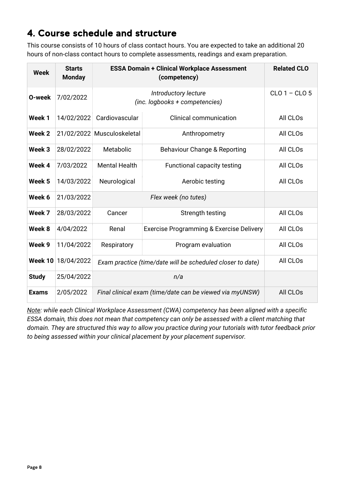# <span id="page-7-0"></span>4. Course schedule and structure

This course consists of 10 hours of class contact hours. You are expected to take an additional 20 hours of non-class contact hours to complete assessments, readings and exam preparation.

| <b>Week</b>  | <b>Starts</b><br><b>Monday</b> | <b>ESSA Domain + Clinical Workplace Assessment</b>         | <b>Related CLO</b>                                       |          |  |  |
|--------------|--------------------------------|------------------------------------------------------------|----------------------------------------------------------|----------|--|--|
| O-week       | 7/02/2022                      | (inc. logbooks + competencies)                             | $CLO 1 - CLO 5$                                          |          |  |  |
| Week 1       | 14/02/2022                     | Cardiovascular                                             | <b>Clinical communication</b>                            | All CLOs |  |  |
| Week 2       |                                | 21/02/2022 Musculoskeletal                                 | Anthropometry                                            | All CLOs |  |  |
| Week 3       | 28/02/2022                     | Metabolic                                                  | All CLOs                                                 |          |  |  |
| Week 4       | 7/03/2022                      | <b>Mental Health</b>                                       | All CLO <sub>s</sub>                                     |          |  |  |
| Week 5       | 14/03/2022                     | Neurological<br>Aerobic testing                            |                                                          | All CLOs |  |  |
| Week 6       | 21/03/2022                     |                                                            | Flex week (no tutes)                                     |          |  |  |
| Week 7       | 28/03/2022                     | Cancer                                                     | Strength testing                                         | All CLOs |  |  |
| Week 8       | 4/04/2022                      | Renal                                                      | All CLOs                                                 |          |  |  |
| Week 9       | 11/04/2022                     | Respiratory                                                | All CLO <sub>s</sub>                                     |          |  |  |
| Week 10      | 18/04/2022                     | Exam practice (time/date will be scheduled closer to date) | All CLOs                                                 |          |  |  |
| <b>Study</b> | 25/04/2022                     |                                                            | n/a                                                      |          |  |  |
| <b>Exams</b> | 2/05/2022                      |                                                            | Final clinical exam (time/date can be viewed via myUNSW) | All CLOs |  |  |

*Note: while each Clinical Workplace Assessment (CWA) competency has been aligned with a specific ESSA domain, this does not mean that competency can only be assessed with a client matching that domain. They are structured this way to allow you practice during your tutorials with tutor feedback prior to being assessed within your clinical placement by your placement supervisor.*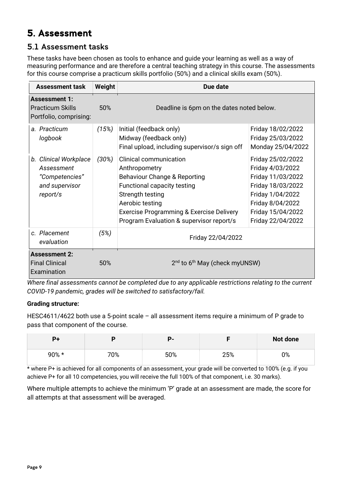# <span id="page-8-0"></span>5. Assessment

### <span id="page-8-1"></span>5.1 Assessment tasks

These tasks have been chosen as tools to enhance and guide your learning as well as a way of measuring performance and are therefore a central teaching strategy in this course. The assessments for this course comprise a practicum skills portfolio (50%) and a clinical skills exam (50%).

| <b>Assessment task</b>                                                              | Weight   | Due date                                                                                                                                                                                                                                     |                                                                                                                                                                   |  |
|-------------------------------------------------------------------------------------|----------|----------------------------------------------------------------------------------------------------------------------------------------------------------------------------------------------------------------------------------------------|-------------------------------------------------------------------------------------------------------------------------------------------------------------------|--|
| <b>Assessment 1:</b><br><b>Practicum Skills</b><br>Portfolio, comprising:           | 50%      | Deadline is 6pm on the dates noted below.                                                                                                                                                                                                    |                                                                                                                                                                   |  |
| a. Practicum<br>logbook                                                             | (15%)    | Initial (feedback only)<br>Midway (feedback only)<br>Final upload, including supervisor/s sign off                                                                                                                                           | Friday 18/02/2022<br>Friday 25/03/2022<br>Monday 25/04/2022                                                                                                       |  |
| b. Clinical Workplace<br>Assessment<br>"Competencies"<br>and supervisor<br>report/s | $(30\%)$ | <b>Clinical communication</b><br>Anthropometry<br>Behaviour Change & Reporting<br>Functional capacity testing<br>Strength testing<br>Aerobic testing<br>Exercise Programming & Exercise Delivery<br>Program Evaluation & supervisor report/s | Friday 25/02/2022<br>Friday 4/03/2022<br>Friday 11/03/2022<br>Friday 18/03/2022<br>Friday 1/04/2022<br>Friday 8/04/2022<br>Friday 15/04/2022<br>Friday 22/04/2022 |  |
| c. Placement<br>evaluation                                                          | (5%)     | Friday 22/04/2022                                                                                                                                                                                                                            |                                                                                                                                                                   |  |
| <b>Assessment 2:</b><br><b>Final Clinical</b><br>Examination                        | 50%      | $2nd$ to 6 <sup>th</sup> May (check myUNSW)                                                                                                                                                                                                  |                                                                                                                                                                   |  |

*Where final assessments cannot be completed due to any applicable restrictions relating to the current COVID-19 pandemic, grades will be switched to satisfactory/fail.*

### **Grading structure:**

HESC4611/4622 both use a 5-point scale – all assessment items require a minimum of P grade to pass that component of the course.

|          |     |     |     | <b>Not done</b> |
|----------|-----|-----|-----|-----------------|
| $90\% *$ | 70% | 50% | 25% | no<br>U 70      |

\* where P+ is achieved for all components of an assessment, your grade will be converted to 100% (e.g. if you achieve P+ for all 10 competencies, you will receive the full 100% of that component, i.e. 30 marks).

Where multiple attempts to achieve the minimum 'P' grade at an assessment are made, the score for all attempts at that assessment will be averaged.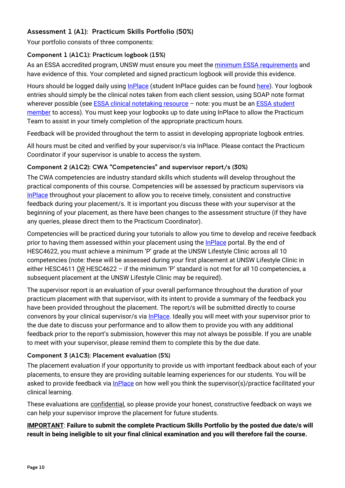### <span id="page-9-0"></span>Assessment 1 (A1): Practicum Skills Portfolio (50%)

Your portfolio consists of three components:

### <span id="page-9-1"></span>Component 1 (A1C1): Practicum logbook (15%)

As an ESSA accredited program, UNSW must ensure you meet the minimum ESSA [requirements](https://www.essa.org.au/Public/EDUCATION_PROVIDERS/Practicum.aspx) and have evidence of this. Your completed and signed practicum logbook will provide this evidence.

Hours should be logged daily using [InPlace](https://unsw-signon-au.inplacesoftware.com/) (student InPlace guides can be found [here\)](https://unsw.sharepoint.com/sites/InPlace-Student). Your logbook entries should simply be the clinical notes taken from each client session, using SOAP note format wherever possible (see **ESSA clinical notetaking resource** – note: you must be an **ESSA student** [member](https://www.essa.org.au/Public/APPLY_NOW/Membership/Student_Membership.aspx?WebsiteKey=b4460de9-2eb5-46f1-aeaa-3795ae70c687) to access). You must keep your logbooks up to date using InPlace to allow the Practicum Team to assist in your timely completion of the appropriate practicum hours.

Feedback will be provided throughout the term to assist in developing appropriate logbook entries.

All hours must be cited and verified by your supervisor/s via InPlace. Please contact the Practicum Coordinator if your supervisor is unable to access the system.

### <span id="page-9-2"></span>Component 2 (A1C2): CWA "Competencies" and supervisor report/s (30%)

The CWA competencies are industry standard skills which students will develop throughout the practical components of this course. Competencies will be assessed by practicum supervisors via [InPlace](https://unsw-signon-au.inplacesoftware.com/) throughout your placement to allow you to receive timely, consistent and constructive feedback during your placement/s. It is important you discuss these with your supervisor at the beginning of your placement, as there have been changes to the assessment structure (if they have any queries, please direct them to the Practicum Coordinator).

Competencies will be practiced during your tutorials to allow you time to develop and receive feedback prior to having them assessed within your placement using the **InPlace** portal. By the end of HESC4622, you must achieve a minimum 'P' grade at the UNSW Lifestyle Clinic across all 10 competencies (note: these will be assessed during your first placement at UNSW Lifestyle Clinic in either HESC4611 *OR* HESC4622 – if the minimum 'P' standard is not met for all 10 competencies, a subsequent placement at the UNSW Lifestyle Clinic may be required).

The supervisor report is an evaluation of your overall performance throughout the duration of your practicum placement with that supervisor, with its intent to provide a summary of the feedback you have been provided throughout the placement. The report/s will be submitted directly to course convenors by your clinical supervisor/s via [InPlace.](https://unsw-signon-au.inplacesoftware.com/) Ideally you will meet with your supervisor prior to the due date to discuss your performance and to allow them to provide you with any additional feedback prior to the report's submission, however this may not always be possible. If you are unable to meet with your supervisor, please remind them to complete this by the due date.

### <span id="page-9-3"></span>Component 3 (A1C3): Placement evaluation (5%)

The placement evaluation if your opportunity to provide us with important feedback about each of your placements, to ensure they are providing suitable learning experiences for our students. You will be asked to provide feedback via [InPlace](https://unsw-signon-au.inplacesoftware.com/) on how well you think the supervisor(s)/practice facilitated your clinical learning.

These evaluations are confidential, so please provide your honest, constructive feedback on ways we can help your supervisor improve the placement for future students.

**IMPORTANT**: **Failure to submit the complete Practicum Skills Portfolio by the posted due date/s will result in being ineligible to sit your final clinical examination and you will therefore fail the course.**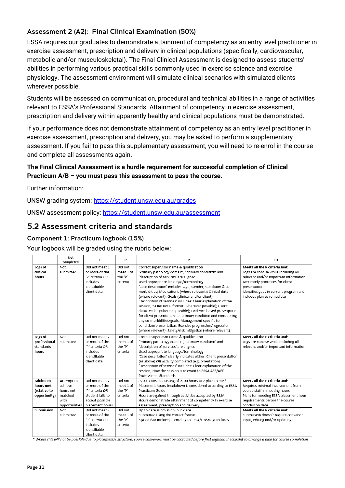### <span id="page-10-0"></span>Assessment 2 (A2): Final Clinical Examination (50%)

ESSA requires our graduates to demonstrate attainment of competency as an entry level practitioner in exercise assessment, prescription and delivery in clinical populations (specifically, cardiovascular, metabolic and/or musculoskeletal). The Final Clinical Assessment is designed to assess students' abilities in performing various practical skills commonly used in exercise science and exercise physiology. The assessment environment will simulate clinical scenarios with simulated clients wherever possible.

Students will be assessed on communication, procedural and technical abilities in a range of activities relevant to ESSA's Professional Standards. Attainment of competency in exercise assessment, prescription and delivery within apparently healthy and clinical populations must be demonstrated.

If your performance does not demonstrate attainment of competency as an entry level practitioner in exercise assessment, prescription and delivery, you may be asked to perform a supplementary assessment. If you fail to pass this supplementary assessment, you will need to re-enrol in the course and complete all assessments again.

### **The Final Clinical Assessment is a hurdle requirement for successful completion of Clinical Practicum A/B – you must pass this assessment to pass the course.**

### Further information:

UNSW grading system:<https://student.unsw.edu.au/grades>

UNSW assessment policy:<https://student.unsw.edu.au/assessment>

### <span id="page-10-1"></span>5.2 Assessment criteria and standards

### <span id="page-10-2"></span>Component 1: Practicum logbook (15%)

Your logbook will be graded using the rubric below:

|                                                                    | Not<br>completed                                                                           | F                                                                                                                                                                                                               | p.                                                                                         | D                                                                                                                                                                                                                                                                                                                                                                                                                                                                                                                                                                                                                                                                                                                                                                                                      | P+                                                                                                                                                                                                                                                                                                          |
|--------------------------------------------------------------------|--------------------------------------------------------------------------------------------|-----------------------------------------------------------------------------------------------------------------------------------------------------------------------------------------------------------------|--------------------------------------------------------------------------------------------|--------------------------------------------------------------------------------------------------------------------------------------------------------------------------------------------------------------------------------------------------------------------------------------------------------------------------------------------------------------------------------------------------------------------------------------------------------------------------------------------------------------------------------------------------------------------------------------------------------------------------------------------------------------------------------------------------------------------------------------------------------------------------------------------------------|-------------------------------------------------------------------------------------------------------------------------------------------------------------------------------------------------------------------------------------------------------------------------------------------------------------|
| Logs of<br>clinical<br>hours                                       | Not<br>submitted                                                                           | Did not meet 2<br>or more of the<br>'P' criteria OR<br>includes<br>identifiable<br>client data                                                                                                                  | Did not<br>meet 1 of<br>the 'P'<br>criteria                                                | Correct supervisor name & qualification<br>'Primary pathology domain', 'primary condition' and<br>'description of services' are aligned<br>Used appropriate language/terminology<br>'Case description' includes: Age; Gender; Condition & co-<br>morbidities; Medications (where relevant); Clinical data<br>(where relevant); Goals (clinical and/or client)<br>'Description of services' includes: Clear explanation of the<br>session; 'SOAP note' format (wherever possible); Client<br>data/results (where applicable); Evidence based prescription<br>for client presentation i.e. primary condition and considering<br>any co-morbidities/goals; Management specific to<br>condition/presentation; Exercise progression/regression<br>(where relevant); Safety/risk mitigation (where relevant) | Meets all the P criteria and:<br>Logs are concise while including all<br>relevant and/or important information<br>Accurately prioritises for client<br>presentation<br>Identifies gaps in current program and<br>includes plan to remediate                                                                 |
| Logs of<br>professional<br>standards<br>hours                      | Not<br>submitted                                                                           | Did not meet 2<br>or more of the<br>'P' criteria OR<br>includes<br>identifiable<br>client data                                                                                                                  | Did not<br>meet 1 of<br>the 'P'<br>criteria                                                | Correct supervisor name & qualification<br>'Primary pathology domain', 'primary condition' and<br>'description of services' are aligned<br>Used appropriate language/terminology<br>'Case description' clearly indicates either: Client presentation<br>(as above) OR activity completed (e.g. orientation)<br>'Description of services' includes: Clear explanation of the<br>session; How the session is relevant to ESSA AES/AEP<br>Professional Standards                                                                                                                                                                                                                                                                                                                                          | Meets all the P criteria and:<br>Logs are concise while including all<br>relevant and/or important information                                                                                                                                                                                              |
| Minimum<br>hours met<br>(relative to<br>opportunity)<br>Submission | Attempt to<br>achieve<br>hours not<br>matched<br>with<br>opportunities<br>Not<br>submitted | Did not meet 2<br>or more of the<br>'P' criteria OR<br>student fails to<br>accept possible<br>placement hours<br>Did not meet 2<br>or more of the<br>'P' criteria OR<br>includes<br>identifiable<br>client data | Did not<br>meet 1 of<br>the 'P'<br>criteria<br>Did not<br>meet 1 of<br>the 'P'<br>criteria | ≥200 hours, consisting of ≥100 hours at 2 placements*<br>Placement hours breakdown is considered according to ESSA<br>Practicum Guide<br>Hours are gained through activities accepted by ESSA<br>Hours demonstrate attainment of competency in exercise<br>assessment, prescription and delivery<br>Up to date submission in InPlace<br>Submitted using the correct format<br>Signed (via InPlace) according to ESSA/UNSW guidelines                                                                                                                                                                                                                                                                                                                                                                   | Meets all the P criteria and:<br>Requires minimal involvement from<br>course staff in meeting hours<br>Plans for meeting ESSA placement hour<br>requirements before the course<br>conclusion date<br>Meets all the P criteria and:<br>Submission doesn't require convenor<br>input, editing and/or updating |

\* Where this will not be possible due to placement/s structure, course convenors must be contacted before first logbook checkpoint to arrange a plan for course completion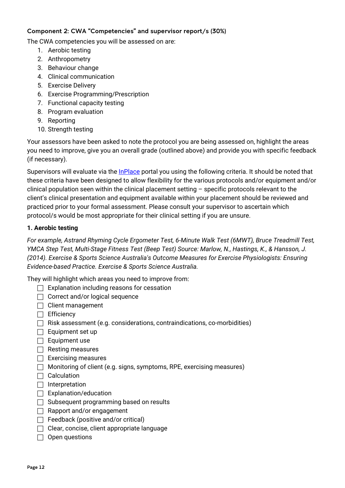### <span id="page-11-0"></span>Component 2: CWA "Competencies" and supervisor report/s (30%)

The CWA competencies you will be assessed on are:

- 1. Aerobic testing
- 2. Anthropometry
- 3. Behaviour change
- 4. Clinical communication
- 5. Exercise Delivery
- 6. Exercise Programming/Prescription
- 7. Functional capacity testing
- 8. Program evaluation
- 9. Reporting
- 10. Strength testing

Your assessors have been asked to note the protocol you are being assessed on, highlight the areas you need to improve, give you an overall grade (outlined above) and provide you with specific feedback (if necessary).

Supervisors will evaluate via the *InPlace* portal you using the following criteria. It should be noted that these criteria have been designed to allow flexibility for the various protocols and/or equipment and/or clinical population seen within the clinical placement setting – specific protocols relevant to the client's clinical presentation and equipment available within your placement should be reviewed and practiced prior to your formal assessment. Please consult your supervisor to ascertain which protocol/s would be most appropriate for their clinical setting if you are unsure.

### **1. Aerobic testing**

*For example, Astrand Rhyming Cycle Ergometer Test, 6-Minute Walk Test (6MWT), Bruce Treadmill Test, YMCA Step Test, Multi-Stage Fitness Test (Beep Test) Source: Marlow, N., Hastings, K., & Hansson, J. (2014). Exercise & Sports Science Australia's Outcome Measures for Exercise Physiologists: Ensuring Evidence-based Practice. Exercise & Sports Science Australia.*

- $\Box$  Explanation including reasons for cessation
- $\Box$  Correct and/or logical sequence
- $\Box$  Client management
- $\Box$  Efficiency
- $\Box$  Risk assessment (e.g. considerations, contraindications, co-morbidities)
- $\Box$  Equipment set up
- $\Box$  Equipment use
- $\Box$  Resting measures
- $\Box$  Exercising measures
- $\Box$  Monitoring of client (e.g. signs, symptoms, RPE, exercising measures)
- $\Box$  Calculation
- $\Box$  Interpretation
- $\Box$  Explanation/education
- $\Box$  Subsequent programming based on results
- $\Box$  Rapport and/or engagement
- $\Box$  Feedback (positive and/or critical)
- $\Box$  Clear, concise, client appropriate language
- $\Box$  Open questions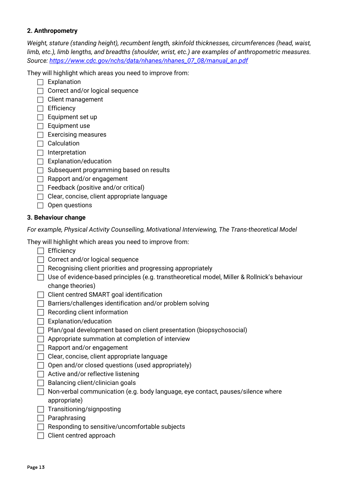### **2. Anthropometry**

*Weight, stature (standing height), recumbent length, skinfold thicknesses, circumferences (head, waist, limb, etc.), limb lengths, and breadths (shoulder, wrist, etc.) are examples of anthropometric measures. Source: [https://www.cdc.gov/nchs/data/nhanes/nhanes\\_07\\_08/manual\\_an.pdf](https://www.cdc.gov/nchs/data/nhanes/nhanes_07_08/manual_an.pdf)*

They will highlight which areas you need to improve from:

- $\Box$  Explanation
- $\Box$  Correct and/or logical sequence
- $\Box$  Client management
- $\Box$  Efficiency
- $\Box$  Equipment set up
- $\Box$  Equipment use
- $\Box$  Exercising measures
- $\Box$  Calculation
- $\Box$  Interpretation
- $\Box$  Explanation/education
- $\Box$  Subsequent programming based on results
- $\Box$  Rapport and/or engagement
- $\Box$  Feedback (positive and/or critical)
- $\Box$  Clear, concise, client appropriate language
- $\Box$  Open questions

### **3. Behaviour change**

*For example, Physical Activity Counselling, Motivational Interviewing, The Trans-theoretical Model*

- $\Box$  Efficiency
- $\Box$  Correct and/or logical sequence
- $\Box$  Recognising client priorities and progressing appropriately
- $\Box$  Use of evidence-based principles (e.g. transtheoretical model, Miller & Rollnick's behaviour change theories)
- $\Box$  Client centred SMART goal identification
- $\Box$  Barriers/challenges identification and/or problem solving
- $\Box$  Recording client information
- $\Box$  Explanation/education
- $\Box$  Plan/goal development based on client presentation (biopsychosocial)
- $\Box$  Appropriate summation at completion of interview
- $\Box$  Rapport and/or engagement
- $\Box$  Clear, concise, client appropriate language
- $\Box$  Open and/or closed questions (used appropriately)
- $\Box$  Active and/or reflective listening
- $\Box$  Balancing client/clinician goals
- $\Box$  Non-verbal communication (e.g. body language, eye contact, pauses/silence where appropriate)
- $\Box$  Transitioning/signposting
- $\Box$  Paraphrasing
- $\Box$  Responding to sensitive/uncomfortable subjects
- $\Box$  Client centred approach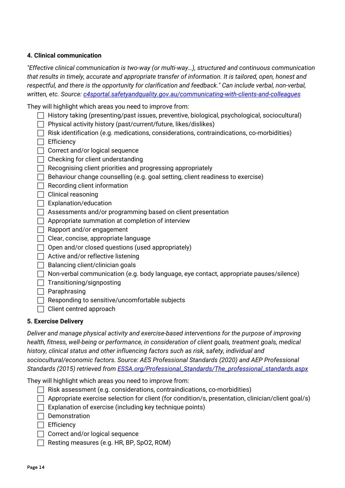### **4. Clinical communication**

*"Effective clinical communication is two-way (or multi-way…), structured and continuous communication that results in timely, accurate and appropriate transfer of information. It is tailored, open, honest and respectful, and there is the opportunity for clarification and feedback." Can include verbal, non-verbal, written, etc. Source: [c4sportal.safetyandquality.gov.au/communicating-with-clients-and-colleagues](https://c4sportal.safetyandquality.gov.au/communicating-with-patients-and-colleagues)*

They will highlight which areas you need to improve from:

- $\Box$  History taking (presenting/past issues, preventive, biological, psychological, sociocultural)
- $\Box$  Physical activity history (past/current/future, likes/dislikes)
- $\Box$  Risk identification (e.g. medications, considerations, contraindications, co-morbidities)
- $\Box$  Efficiency
- $\Box$  Correct and/or logical sequence
- $\Box$  Checking for client understanding
- $\Box$  Recognising client priorities and progressing appropriately
- $\Box$  Behaviour change counselling (e.g. goal setting, client readiness to exercise)
- $\Box$  Recording client information
- $\Box$  Clinical reasoning
- $\Box$  Explanation/education
- $\Box$  Assessments and/or programming based on client presentation
- $\Box$  Appropriate summation at completion of interview
- $\Box$  Rapport and/or engagement
- $\Box$  Clear, concise, appropriate language
- $\Box$  Open and/or closed questions (used appropriately)
- $\Box$  Active and/or reflective listening
- $\Box$  Balancing client/clinician goals
- $\Box$  Non-verbal communication (e.g. body language, eye contact, appropriate pauses/silence)
- $\Box$  Transitioning/signposting
- $\Box$  Paraphrasing
- $\Box$  Responding to sensitive/uncomfortable subjects
- $\Box$  Client centred approach

### **5. Exercise Delivery**

*Deliver and manage physical activity and exercise-based interventions for the purpose of improving health, fitness, well-being or performance, in consideration of client goals, treatment goals, medical history, clinical status and other influencing factors such as risk, safety, individual and sociocultural/economic factors. Source: AES Professional Standards (2020) and AEP Professional Standards (2015) retrieved from [ESSA.org/Professional\\_Standards/The\\_professional\\_standards.aspx](https://www.essa.org.au/Public/Professional_Standards/The_professional_standards.aspx)*

- $\Box$  Risk assessment (e.g. considerations, contraindications, co-morbidities)
- $\Box$  Appropriate exercise selection for client (for condition/s, presentation, clinician/client goal/s)
- $\Box$  Explanation of exercise (including key technique points)
- $\Box$  Demonstration
- $\Box$  Efficiency
- $\Box$  Correct and/or logical sequence
- $\Box$  Resting measures (e.g. HR, BP, SpO2, ROM)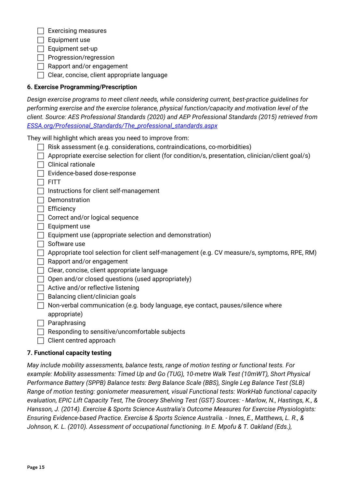$\Box$  Exercising measures

 $\Box$  Equipment use

 $\Box$  Equipment set-up

 $\Box$  Progression/regression

 $\Box$  Rapport and/or engagement

 $\Box$  Clear, concise, client appropriate language

### **6. Exercise Programming/Prescription**

| Design exercise programs to meet client needs, while considering current, best-practice quidelines for |
|--------------------------------------------------------------------------------------------------------|
| performing exercise and the exercise tolerance, physical function/capacity and motivation level of the |
| client. Source: AES Professional Standards (2020) and AEP Professional Standards (2015) retrieved from |
| ESSA.org/Professional_Standards/The_professional_standards.aspx                                        |

They will highlight which areas you need to improve from:

| $\Box$ Risk assessment (e.g. considerations, contraindications, co-morbidities) |  |  |
|---------------------------------------------------------------------------------|--|--|
|                                                                                 |  |  |
|                                                                                 |  |  |

| $\Box$ Appropriate exercise selection for client (for condition/s, presentation, clinician/client goal/s) |  |  |  |
|-----------------------------------------------------------------------------------------------------------|--|--|--|
|                                                                                                           |  |  |  |

 $\Box$  Clinical rationale

 $\Box$  Evidence-based dose-response

 $\Box$  FITT

 $\Box$  Instructions for client self-management

- $\Box$  Demonstration
- $\Box$  Efficiency
- $\Box$  Correct and/or logical sequence
- $\Box$  Equipment use
- $\Box$  Equipment use (appropriate selection and demonstration)
- $\Box$  Software use
- $\Box$  Appropriate tool selection for client self-management (e.g. CV measure/s, symptoms, RPE, RM)
- $\Box$  Rapport and/or engagement
- $\Box$  Clear, concise, client appropriate language
- $\Box$  Open and/or closed questions (used appropriately)
- $\Box$  Active and/or reflective listening
- $\Box$  Balancing client/clinician goals

 $\Box$  Non-verbal communication (e.g. body language, eye contact, pauses/silence where appropriate)

- $\Box$  Paraphrasing
- $\Box$  Responding to sensitive/uncomfortable subjects
- $\Box$  Client centred approach

### **7. Functional capacity testing**

*May include mobility assessments, balance tests, range of motion testing or functional tests. For example: Mobility assessments: Timed Up and Go (TUG), 10-metre Walk Test (10mWT), Short Physical Performance Battery (SPPB) Balance tests: Berg Balance Scale (BBS), Single Leg Balance Test (SLB) Range of motion testing: goniometer measurement, visual Functional tests: WorkHab functional capacity evaluation, EPIC Lift Capacity Test, The Grocery Shelving Test (GST) Sources: - Marlow, N., Hastings, K., & Hansson, J. (2014). Exercise & Sports Science Australia's Outcome Measures for Exercise Physiologists: Ensuring Evidence-based Practice. Exercise & Sports Science Australia. - Innes, E., Matthews, L. R., & Johnson, K. L. (2010). Assessment of occupational functioning. In E. Mpofu & T. Oakland (Eds.),*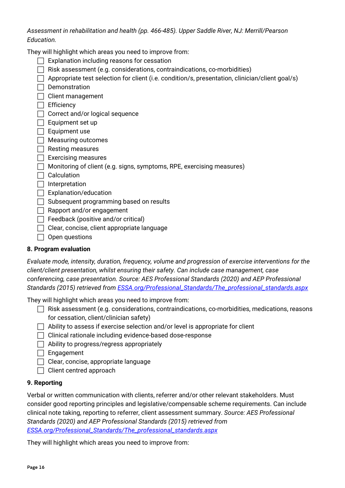*Assessment in rehabilitation and health (pp. 466-485). Upper Saddle River, NJ: Merrill/Pearson Education.*

They will highlight which areas you need to improve from:

- $\Box$  Explanation including reasons for cessation
- $\Box$  Risk assessment (e.g. considerations, contraindications, co-morbidities)
- $\Box$  Appropriate test selection for client (i.e. condition/s, presentation, clinician/client goal/s)
- $\Box$  Demonstration

 $\Box$  Client management

- $\Box$  Efficiency
- □ Correct and/or logical sequence
- $\Box$  Equipment set up
- $\Box$  Equipment use
- $\Box$  Measuring outcomes
- $\Box$  Resting measures
- $\Box$  Exercising measures
- $\Box$  Monitoring of client (e.g. signs, symptoms, RPE, exercising measures)
- $\Box$  Calculation
- $\Box$  Interpretation
- $\Box$  Explanation/education
- $\Box$  Subsequent programming based on results
- $\Box$  Rapport and/or engagement
- $\Box$  Feedback (positive and/or critical)
- $\Box$  Clear, concise, client appropriate language
- $\Box$  Open questions

### **8. Program evaluation**

*Evaluate mode, intensity, duration, frequency, volume and progression of exercise interventions for the client/client presentation, whilst ensuring their safety. Can include case management, case conferencing, case presentation. Source: AES Professional Standards (2020) and AEP Professional Standards (2015) retrieved from [ESSA.org/Professional\\_Standards/The\\_professional\\_standards.aspx](https://www.essa.org.au/Public/Professional_Standards/The_professional_standards.aspx)*

They will highlight which areas you need to improve from:

- $\Box$  Risk assessment (e.g. considerations, contraindications, co-morbidities, medications, reasons for cessation, client/clinician safety)
- $\Box$  Ability to assess if exercise selection and/or level is appropriate for client
- $\Box$  Clinical rationale including evidence-based dose-response
- $\Box$  Ability to progress/regress appropriately
- $\Box$  Engagement
- $\Box$  Clear, concise, appropriate language
- $\Box$  Client centred approach

### **9. Reporting**

Verbal or written communication with clients, referrer and/or other relevant stakeholders. Must consider good reporting principles and legislative/compensable scheme requirements. Can include clinical note taking, reporting to referrer, client assessment summary. *Source: AES Professional Standards (2020) and AEP Professional Standards (2015) retrieved from [ESSA.org/Professional\\_Standards/The\\_professional\\_standards.aspx](https://www.essa.org.au/Public/Professional_Standards/The_professional_standards.aspx)*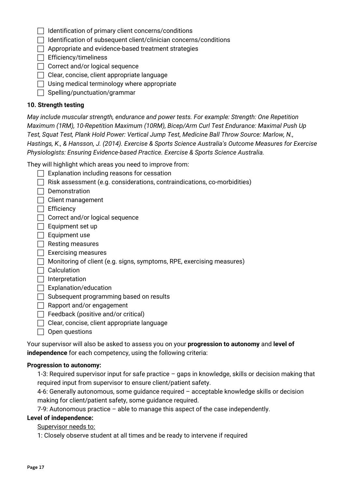| $\Box$ Identification of primary client concerns/conditions |  |  |  |
|-------------------------------------------------------------|--|--|--|
|                                                             |  |  |  |

- $\Box$  Identification of subsequent client/clinician concerns/conditions
- $\Box$  Appropriate and evidence-based treatment strategies
- $\Box$  Efficiency/timeliness
- $\Box$  Correct and/or logical sequence
- $\Box$  Clear, concise, client appropriate language
- $\Box$  Using medical terminology where appropriate
- $\Box$  Spelling/punctuation/grammar

### **10. Strength testing**

*May include muscular strength, endurance and power tests. For example: Strength: One Repetition Maximum (1RM), 10-Repetition Maximum (10RM), Bicep/Arm Curl Test Endurance: Maximal Push Up Test, Squat Test, Plank Hold Power: Vertical Jump Test, Medicine Ball Throw Source: Marlow, N., Hastings, K., & Hansson, J. (2014). Exercise & Sports Science Australia's Outcome Measures for Exercise Physiologists: Ensuring Evidence-based Practice. Exercise & Sports Science Australia.*

They will highlight which areas you need to improve from:

- $\Box$  Explanation including reasons for cessation
- $\Box$  Risk assessment (e.g. considerations, contraindications, co-morbidities)
- $\Box$  Demonstration
- $\Box$  Client management
- $\Box$  Efficiency
- $\Box$  Correct and/or logical sequence
- $\Box$  Equipment set up
- $\Box$  Equipment use
- $\Box$  Resting measures
- $\Box$  Exercising measures
- $\Box$  Monitoring of client (e.g. signs, symptoms, RPE, exercising measures)
- $\Box$  Calculation
- $\Box$  Interpretation
- $\Box$  Explanation/education
- $\Box$  Subsequent programming based on results
- $\Box$  Rapport and/or engagement
- $\Box$  Feedback (positive and/or critical)
- $\Box$  Clear, concise, client appropriate language
- $\Box$  Open questions

Your supervisor will also be asked to assess you on your **progression to autonomy** and **level of independence** for each competency, using the following criteria:

### **Progression to autonomy:**

1-3: Required supervisor input for safe practice – gaps in knowledge, skills or decision making that required input from supervisor to ensure client/patient safety.

4-6: Generally autonomous, some guidance required – acceptable knowledge skills or decision making for client/patient safety, some guidance required.

7-9: Autonomous practice – able to manage this aspect of the case independently.

### **Level of independence:**

Supervisor needs to:

1: Closely observe student at all times and be ready to intervene if required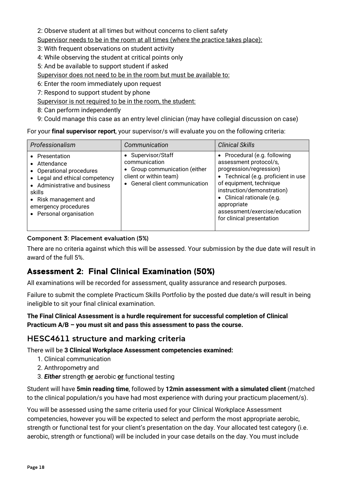2: Observe student at all times but without concerns to client safety

Supervisor needs to be in the room at all times (where the practice takes place):

3: With frequent observations on student activity

- 4: While observing the student at critical points only
- 5: And be available to support student if asked

Supervisor does not need to be in the room but must be available to:

6: Enter the room immediately upon request

7: Respond to support student by phone

Supervisor is not required to be in the room, the student:

8: Can perform independently

9: Could manage this case as an entry level clinician (may have collegial discussion on case)

For your **final supervisor report**, your supervisor/s will evaluate you on the following criteria:

| Professionalism                                                                                                                                                                                                     | Communication                                                                                                                    | <b>Clinical Skills</b>                                                                                                                                                                                                                                                                       |
|---------------------------------------------------------------------------------------------------------------------------------------------------------------------------------------------------------------------|----------------------------------------------------------------------------------------------------------------------------------|----------------------------------------------------------------------------------------------------------------------------------------------------------------------------------------------------------------------------------------------------------------------------------------------|
| • Presentation<br>• Attendance<br>• Operational procedures<br>• Legal and ethical competency<br>• Administrative and business<br>skills<br>• Risk management and<br>emergency procedures<br>• Personal organisation | • Supervisor/Staff<br>communication<br>• Group communication (either<br>client or within team)<br>• General client communication | • Procedural (e.g. following<br>assessment protocol/s,<br>progression/regression)<br>• Technical (e.g. proficient in use<br>of equipment, technique<br>instruction/demonstration)<br>• Clinical rationale (e.g.<br>appropriate<br>assessment/exercise/education<br>for clinical presentation |

### <span id="page-17-0"></span>Component 3: Placement evaluation (5%)

There are no criteria against which this will be assessed. Your submission by the due date will result in award of the full 5%.

# <span id="page-17-1"></span>Assessment 2: Final Clinical Examination (50%)

All examinations will be recorded for assessment, quality assurance and research purposes.

Failure to submit the complete Practicum Skills Portfolio by the posted due date/s will result in being ineligible to sit your final clinical examination.

### **The Final Clinical Assessment is a hurdle requirement for successful completion of Clinical Practicum A/B – you must sit and pass this assessment to pass the course.**

### <span id="page-17-2"></span>HESC4611 structure and marking criteria

There will be **3 Clinical Workplace Assessment competencies examined:**

- 1. Clinical communication
- 2. Anthropometry and
- 3. *Either* strength **or** aerobic **or** functional testing

Student will have **5min reading time**, followed by **12min assessment with a simulated client** (matched to the clinical population/s you have had most experience with during your practicum placement/s).

You will be assessed using the same criteria used for your Clinical Workplace Assessment competencies, however you will be expected to select and perform the most appropriate aerobic, strength or functional test for your client's presentation on the day. Your allocated test category (i.e. aerobic, strength or functional) will be included in your case details on the day. You must include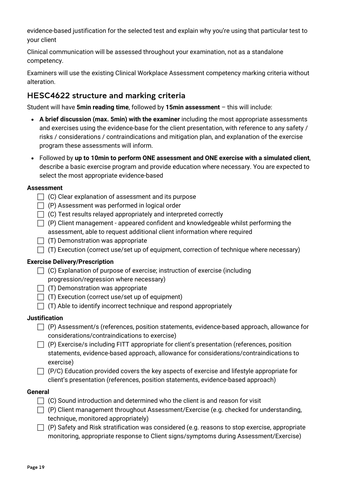evidence-based justification for the selected test and explain why you're using that particular test to your client

Clinical communication will be assessed throughout your examination, not as a standalone competency.

Examiners will use the existing Clinical Workplace Assessment competency marking criteria without alteration.

### <span id="page-18-0"></span>HESC4622 structure and marking criteria

Student will have **5min reading time**, followed by **15min assessment** – this will include:

- **A brief discussion (max. 5min) with the examiner** including the most appropriate assessments and exercises using the evidence-base for the client presentation, with reference to any safety / risks / considerations / contraindications and mitigation plan, and explanation of the exercise program these assessments will inform.
- Followed by **up to 10min to perform ONE assessment and ONE exercise with a simulated client**, describe a basic exercise program and provide education where necessary. You are expected to select the most appropriate evidence-based

### **Assessment**

- $\Box$  (C) Clear explanation of assessment and its purpose
- $\Box$  (P) Assessment was performed in logical order
- $\Box$  (C) Test results relayed appropriately and interpreted correctly
- $\Box$  (P) Client management appeared confident and knowledgeable whilst performing the assessment, able to request additional client information where required
- $\Box$  (T) Demonstration was appropriate
- $\Box$  (T) Execution (correct use/set up of equipment, correction of technique where necessary)

### **Exercise Delivery/Prescription**

- $\Box$  (C) Explanation of purpose of exercise; instruction of exercise (including progression/regression where necessary)
- $\Box$  (T) Demonstration was appropriate
- $\Box$  (T) Execution (correct use/set up of equipment)
- $\Box$  (T) Able to identify incorrect technique and respond appropriately

### **Justification**

- $\Box$  (P) Assessment/s (references, position statements, evidence-based approach, allowance for considerations/contraindications to exercise)
- $\Box$  (P) Exercise/s including FITT appropriate for client's presentation (references, position statements, evidence-based approach, allowance for considerations/contraindications to exercise)
- $\Box$  (P/C) Education provided covers the key aspects of exercise and lifestyle appropriate for client's presentation (references, position statements, evidence-based approach)

### **General**

- $\Box$  (C) Sound introduction and determined who the client is and reason for visit
- $\Box$  (P) Client management throughout Assessment/Exercise (e.g. checked for understanding, technique, monitored appropriately)
- $\Box$  (P) Safety and Risk stratification was considered (e.g. reasons to stop exercise, appropriate monitoring, appropriate response to Client signs/symptoms during Assessment/Exercise)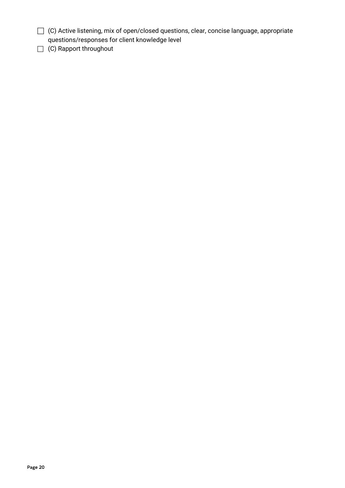- (C) Active listening, mix of open/closed questions, clear, concise language, appropriate questions/responses for client knowledge level
- □ (C) Rapport throughout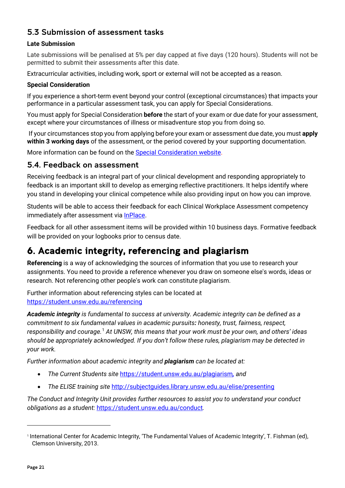### <span id="page-20-0"></span>5.3 Submission of assessment tasks

### **Late Submission**

Late submissions will be penalised at 5% per day capped at five days (120 hours). Students will not be permitted to submit their assessments after this date.

Extracurricular activities, including work, sport or external will not be accepted as a reason.

### **Special Consideration**

If you experience a short-term event beyond your control (exceptional circumstances) that impacts your performance in a particular assessment task, you can apply for Special Considerations.

You must apply for Special Consideration **before** the start of your exam or due date for your assessment, except where your circumstances of illness or misadventure stop you from doing so.

If your circumstances stop you from applying before your exam or assessment due date, you must **apply within 3 working days** of the assessment, or the period covered by your supporting documentation.

More information can be found on the [Special Consideration website.](https://www.student.unsw.edu.au/special-consideration)

### <span id="page-20-1"></span>5.4. Feedback on assessment

Receiving feedback is an integral part of your clinical development and responding appropriately to feedback is an important skill to develop as emerging reflective practitioners. It helps identify where you stand in developing your clinical competence while also providing input on how you can improve.

Students will be able to access their feedback for each Clinical Workplace Assessment competency immediately after assessment via [InPlace.](https://unsw-signon-au.inplacesoftware.com/)

Feedback for all other assessment items will be provided within 10 business days. Formative feedback will be provided on your logbooks prior to census date.

# <span id="page-20-2"></span>6. Academic integrity, referencing and plagiarism

**Referencing** is a way of acknowledging the sources of information that you use to research your assignments. You need to provide a reference whenever you draw on someone else's words, ideas or research. Not referencing other people's work can constitute plagiarism.

Further information about referencing styles can be located at <https://student.unsw.edu.au/referencing>

*Academic integrity is fundamental to success at university. Academic integrity can be defined as a commitment to six fundamental values in academic pursuits: honesty, trust, fairness, respect, responsibility and courage.*[1](#page-20-3) *At UNSW, this means that your work must be your own, and others' ideas should be appropriately acknowledged. If you don't follow these rules, plagiarism may be detected in your work.* 

*Further information about academic integrity and plagiarism can be located at:*

- *The Current Students site* <https://student.unsw.edu.au/plagiarism>*, and*
- *The ELISE training site* <http://subjectguides.library.unsw.edu.au/elise/presenting>

*The Conduct and Integrity Unit provides further resources to assist you to understand your conduct obligations as a student:* <https://student.unsw.edu.au/conduct>*.*

<span id="page-20-3"></span><sup>1</sup> International Center for Academic Integrity, 'The Fundamental Values of Academic Integrity', T. Fishman (ed), Clemson University, 2013.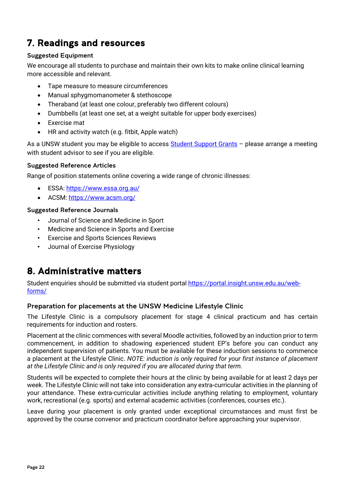# <span id="page-21-0"></span>7. Readings and resources

### <span id="page-21-1"></span>Suggested Equipment

We encourage all students to purchase and maintain their own kits to make online clinical learning more accessible and relevant.

- Tape measure to measure circumferences
- Manual sphygmomanometer & stethoscope
- Theraband (at least one colour, preferably two different colours)
- Dumbbells (at least one set, at a weight suitable for upper body exercises)
- Exercise mat
- HR and activity watch (e.g. fitbit, Apple watch)

As a UNSW student you may be eligible to access [Student Support Grants](https://student.unsw.edu.au/student-support-grants) – please arrange a meeting with student advisor to see if you are eligible.

### <span id="page-21-2"></span>Suggested Reference Articles

Range of position statements online covering a wide range of chronic illnesses:

- ESSA:<https://www.essa.org.au/>
- ACSM:<https://www.acsm.org/>

### <span id="page-21-3"></span>Suggested Reference Journals

- Journal of Science and Medicine in Sport
- Medicine and Science in Sports and Exercise
- Exercise and Sports Sciences Reviews
- Journal of Exercise Physiology

# <span id="page-21-4"></span>8. Administrative matters

Student enquiries should be submitted via student portal [https://portal.insight.unsw.edu.au/web](https://portal.insight.unsw.edu.au/web-forms/)[forms/](https://portal.insight.unsw.edu.au/web-forms/)

### <span id="page-21-5"></span>Preparation for placements at the UNSW Medicine Lifestyle Clinic

The Lifestyle Clinic is a compulsory placement for stage 4 clinical practicum and has certain requirements for induction and rosters.

Placement at the clinic commences with several Moodle activities, followed by an induction prior to term commencement, in addition to shadowing experienced student EP's before you can conduct any independent supervision of patients. You must be available for these induction sessions to commence a placement at the Lifestyle Clinic. *NOTE: induction is only required for your first instance of placement at the Lifestyle Clinic and is only required if you are allocated during that term.*

Students will be expected to complete their hours at the clinic by being available for at least 2 days per week. The Lifestyle Clinic will not take into consideration any extra-curricular activities in the planning of your attendance. These extra-curricular activities include anything relating to employment, voluntary work, recreational (e.g. sports) and external academic activities (conferences, courses etc.).

Leave during your placement is only granted under exceptional circumstances and must first be approved by the course convenor and practicum coordinator before approaching your supervisor.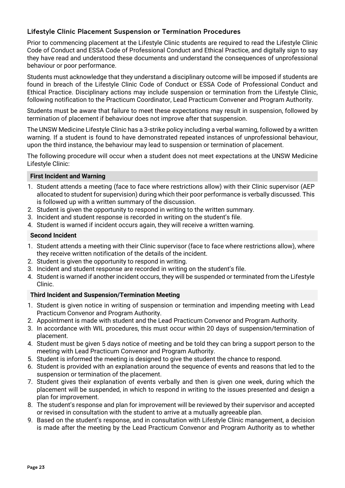### <span id="page-22-0"></span>Lifestyle Clinic Placement Suspension or Termination Procedures

Prior to commencing placement at the Lifestyle Clinic students are required to read the Lifestyle Clinic Code of Conduct and ESSA Code of Professional Conduct and Ethical Practice, and digitally sign to say they have read and understood these documents and understand the consequences of unprofessional behaviour or poor performance.

Students must acknowledge that they understand a disciplinary outcome will be imposed if students are found in breach of the Lifestyle Clinic Code of Conduct or ESSA Code of Professional Conduct and Ethical Practice. Disciplinary actions may include suspension or termination from the Lifestyle Clinic, following notification to the Practicum Coordinator, Lead Practicum Convener and Program Authority.

Students must be aware that failure to meet these expectations may result in suspension, followed by termination of placement if behaviour does not improve after that suspension.

The UNSW Medicine Lifestyle Clinic has a 3-strike policy including a verbal warning, followed by a written warning. If a student is found to have demonstrated repeated instances of unprofessional behaviour, upon the third instance, the behaviour may lead to suspension or termination of placement.

The following procedure will occur when a student does not meet expectations at the UNSW Medicine Lifestyle Clinic:

### **First Incident and Warning**

- 1. Student attends a meeting (face to face where restrictions allow) with their Clinic supervisor (AEP allocated to student for supervision) during which their poor performance is verbally discussed. This is followed up with a written summary of the discussion.
- 2. Student is given the opportunity to respond in writing to the written summary.
- 3. Incident and student response is recorded in writing on the student's file.
- 4. Student is warned if incident occurs again, they will receive a written warning.

### **Second Incident**

- 1. Student attends a meeting with their Clinic supervisor (face to face where restrictions allow), where they receive written notification of the details of the incident.
- 2. Student is given the opportunity to respond in writing.
- 3. Incident and student response are recorded in writing on the student's file.
- 4. Student is warned if another incident occurs, they will be suspended or terminated from the Lifestyle Clinic.

### **Third Incident and Suspension/Termination Meeting**

- 1. Student is given notice in writing of suspension or termination and impending meeting with Lead Practicum Convenor and Program Authority.
- 2. Appointment is made with student and the Lead Practicum Convenor and Program Authority.
- 3. In accordance with WIL procedures, this must occur within 20 days of suspension/termination of placement.
- 4. Student must be given 5 days notice of meeting and be told they can bring a support person to the meeting with Lead Practicum Convenor and Program Authority.
- 5. Student is informed the meeting is designed to give the student the chance to respond.
- 6. Student is provided with an explanation around the sequence of events and reasons that led to the suspension or termination of the placement.
- 7. Student gives their explanation of events verbally and then is given one week, during which the placement will be suspended, in which to respond in writing to the issues presented and design a plan for improvement.
- 8. The student's response and plan for improvement will be reviewed by their supervisor and accepted or revised in consultation with the student to arrive at a mutually agreeable plan.
- 9. Based on the student's response, and in consultation with Lifestyle Clinic management, a decision is made after the meeting by the Lead Practicum Convenor and Program Authority as to whether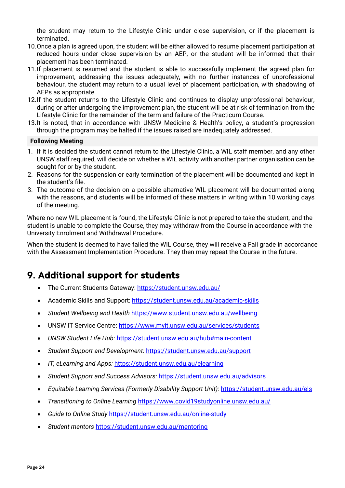the student may return to the Lifestyle Clinic under close supervision, or if the placement is terminated.

- 10.Once a plan is agreed upon, the student will be either allowed to resume placement participation at reduced hours under close supervision by an AEP, or the student will be informed that their placement has been terminated.
- 11.If placement is resumed and the student is able to successfully implement the agreed plan for improvement, addressing the issues adequately, with no further instances of unprofessional behaviour, the student may return to a usual level of placement participation, with shadowing of AEPs as appropriate.
- 12.If the student returns to the Lifestyle Clinic and continues to display unprofessional behaviour, during or after undergoing the improvement plan, the student will be at risk of termination from the Lifestyle Clinic for the remainder of the term and failure of the Practicum Course.
- 13.It is noted, that in accordance with UNSW Medicine & Health's policy, a student's progression through the program may be halted if the issues raised are inadequately addressed.

### **Following Meeting**

- 1. If it is decided the student cannot return to the Lifestyle Clinic, a WIL staff member, and any other UNSW staff required, will decide on whether a WIL activity with another partner organisation can be sought for or by the student.
- 2. Reasons for the suspension or early termination of the placement will be documented and kept in the student's file.
- 3. The outcome of the decision on a possible alternative WIL placement will be documented along with the reasons, and students will be informed of these matters in writing within 10 working days of the meeting.

Where no new WIL placement is found, the Lifestyle Clinic is not prepared to take the student, and the student is unable to complete the Course, they may withdraw from the Course in accordance with the University Enrolment and Withdrawal Procedure.

When the student is deemed to have failed the WIL Course, they will receive a Fail grade in accordance with the Assessment Implementation Procedure. They then may repeat the Course in the future.

# <span id="page-23-0"></span>9. Additional support for students

- The Current Students Gateway: <https://student.unsw.edu.au/>
- Academic Skills and Support:<https://student.unsw.edu.au/academic-skills>
- *Student Wellbeing and Health* <https://www.student.unsw.edu.au/wellbeing>
- UNSW IT Service Centre:<https://www.myit.unsw.edu.au/services/students>
- *UNSW Student Life Hub:* <https://student.unsw.edu.au/hub#main-content>
- *Student Support and Development:* <https://student.unsw.edu.au/support>
- *IT, eLearning and Apps:* <https://student.unsw.edu.au/elearning>
- *Student Support and Success Advisors:* <https://student.unsw.edu.au/advisors>
- *Equitable Learning Services (Formerly Disability Support Unit):* <https://student.unsw.edu.au/els>
- *Transitioning to Online Learning* <https://www.covid19studyonline.unsw.edu.au/>
- *Guide to Online Study* <https://student.unsw.edu.au/online-study>
- *Student mentors* <https://student.unsw.edu.au/mentoring>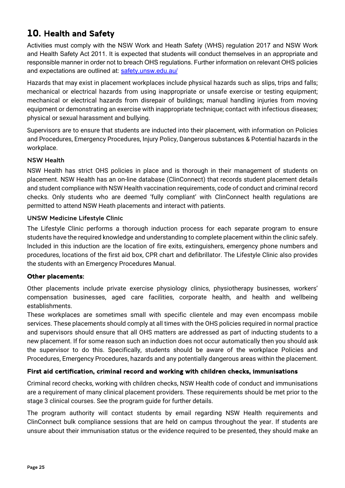# <span id="page-24-0"></span>10. Health and Safety

Activities must comply with the NSW Work and Heath Safety (WHS) regulation 2017 and NSW Work and Health Safety Act 2011. It is expected that students will conduct themselves in an appropriate and responsible manner in order not to breach OHS regulations. Further information on relevant OHS policies and expectations are outlined at: [safety.unsw.edu.au/](http://safety.unsw.edu.au/)

Hazards that may exist in placement workplaces include physical hazards such as slips, trips and falls; mechanical or electrical hazards from using inappropriate or unsafe exercise or testing equipment; mechanical or electrical hazards from disrepair of buildings; manual handling injuries from moving equipment or demonstrating an exercise with inappropriate technique; contact with infectious diseases; physical or sexual harassment and bullying.

Supervisors are to ensure that students are inducted into their placement, with information on Policies and Procedures, Emergency Procedures, Injury Policy, Dangerous substances & Potential hazards in the workplace.

### <span id="page-24-1"></span>NSW Health

NSW Health has strict OHS policies in place and is thorough in their management of students on placement. NSW Health has an on-line database (ClinConnect) that records student placement details and student compliance with NSW Health vaccination requirements, code of conduct and criminal record checks. Only students who are deemed 'fully compliant' with ClinConnect health regulations are permitted to attend NSW Heath placements and interact with patients.

### <span id="page-24-2"></span>UNSW Medicine Lifestyle Clinic

The Lifestyle Clinic performs a thorough induction process for each separate program to ensure students have the required knowledge and understanding to complete placement within the clinic safely. Included in this induction are the location of fire exits, extinguishers, emergency phone numbers and procedures, locations of the first aid box, CPR chart and defibrillator. The Lifestyle Clinic also provides the students with an Emergency Procedures Manual.

### Other placements:

Other placements include private exercise physiology clinics, physiotherapy businesses, workers' compensation businesses, aged care facilities, corporate health, and health and wellbeing establishments.

These workplaces are sometimes small with specific clientele and may even encompass mobile services. These placements should comply at all times with the OHS policies required in normal practice and supervisors should ensure that all OHS matters are addressed as part of inducting students to a new placement. If for some reason such an induction does not occur automatically then you should ask the supervisor to do this. Specifically, students should be aware of the workplace Policies and Procedures, Emergency Procedures, hazards and any potentially dangerous areas within the placement.

### First aid certification, criminal record and working with children checks, immunisations

Criminal record checks, working with children checks, NSW Health code of conduct and immunisations are a requirement of many clinical placement providers. These requirements should be met prior to the stage 3 clinical courses. See the program guide for further details.

The program authority will contact students by email regarding NSW Health requirements and ClinConnect bulk compliance sessions that are held on campus throughout the year. If students are unsure about their immunisation status or the evidence required to be presented, they should make an